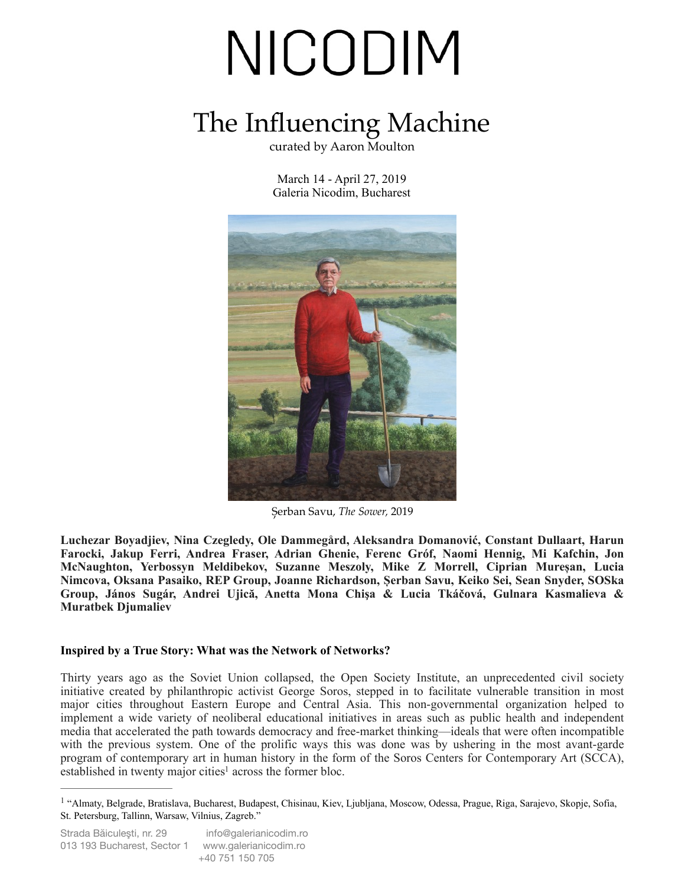### The Influencing Machine

curated by Aaron Moulton

March 14 - April 27, 2019 Galeria Nicodim, Bucharest



Șerban Savu, *The Sower,* 2019

**Luchezar Boyadjiev, Nina Czegledy, Ole Dammegård, Aleksandra Domanović, Constant Dullaart, Harun Farocki, Jakup Ferri, Andrea Fraser, Adrian Ghenie, Ferenc Gróf, Naomi Hennig, Mi Kafchin, Jon McNaughton, Yerbossyn Meldibekov, Suzanne Meszoly, Mike Z Morrell, Ciprian Mureșan, Lucia Nimcova, Oksana Pasaiko, REP Group, Joanne Richardson, Șerban Savu, Keiko Sei, Sean Snyder, SOSka Group, János Sugár, Andrei Ujică, Anetta Mona Chişa & Lucia Tkáčová, Gulnara Kasmalieva & Muratbek Djumaliev** 

#### **Inspired by a True Story: What was the Network of Networks?**

Thirty years ago as the Soviet Union collapsed, the Open Society Institute, an unprecedented civil society initiative created by philanthropic activist George Soros, stepped in to facilitate vulnerable transition in most major cities throughout Eastern Europe and Central Asia. This non-governmental organization helped to implement a wide variety of neoliberal educational initiatives in areas such as public health and independent media that accelerated the path towards democracy and free-market thinking—ideals that were often incompatible with the previous system. One of the prolific ways this was done was by ushering in the most avant-garde program of contemporary art in human history in the form of the Soros Centers for Contemporary Art (SCCA), established in twenty major cities<sup>1</sup> acros[s](#page-0-0) the former bloc.

<span id="page-0-1"></span><span id="page-0-0"></span><sup>&</sup>lt;sup>[1](#page-0-1)</sup> "Almaty, Belgrade, Bratislava, Bucharest, Budapest, Chisinau, Kiev, Ljubljana, Moscow, Odessa, Prague, Riga, Sarajevo, Skopje, Sofia, St. Petersburg, Tallinn, Warsaw, Vilnius, Zagreb."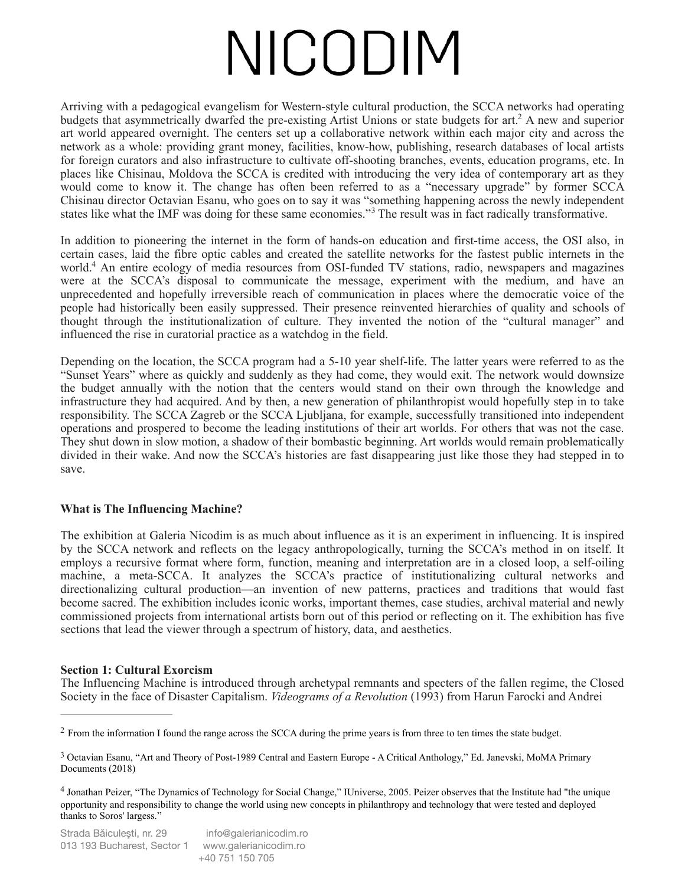<span id="page-1-3"></span>Arriving with a pedagogical evangelism for Western-style cultural production, the SCCA networks had operating budgets that asymmetrically dwarfed the pre-existing Artist Unions or state budgets for art[.](#page-1-0)<sup>[2](#page-1-0)</sup> A new and superior art world appeared overnight. The centers set up a collaborative network within each major city and across the network as a whole: providing grant money, facilities, know-how, publishing, research databases of local artists for foreign curators and also infrastructure to cultivate off-shooting branches, events, education programs, etc. In places like Chisinau, Moldova the SCCA is credited with introducing the very idea of contemporary art as they would come to know it. The change has often been referred to as a "necessary upgrade" by former SCCA Chisinau director Octavian Esanu, who goes on to say it was "something happening across the newly independent states like what the IMF was doing for these same economies."<sup>[3](#page-1-1)</sup> The result was in fact radically transformative.

<span id="page-1-5"></span><span id="page-1-4"></span>In addition to pioneering the internet in the form of hands-on education and first-time access, the OSI also, in certain cases, laid the fibre optic cables and created the satellite networks for the fastest public internets in the world[.](#page-1-2)<sup>[4](#page-1-2)</sup> An entire ecology of media resources from OSI-funded TV stations, radio, newspapers and magazines were at the SCCA's disposal to communicate the message, experiment with the medium, and have an unprecedented and hopefully irreversible reach of communication in places where the democratic voice of the people had historically been easily suppressed. Their presence reinvented hierarchies of quality and schools of thought through the institutionalization of culture. They invented the notion of the "cultural manager" and influenced the rise in curatorial practice as a watchdog in the field.

Depending on the location, the SCCA program had a 5-10 year shelf-life. The latter years were referred to as the "Sunset Years" where as quickly and suddenly as they had come, they would exit. The network would downsize the budget annually with the notion that the centers would stand on their own through the knowledge and infrastructure they had acquired. And by then, a new generation of philanthropist would hopefully step in to take responsibility. The SCCA Zagreb or the SCCA Ljubljana, for example, successfully transitioned into independent operations and prospered to become the leading institutions of their art worlds. For others that was not the case. They shut down in slow motion, a shadow of their bombastic beginning. Art worlds would remain problematically divided in their wake. And now the SCCA's histories are fast disappearing just like those they had stepped in to save.

#### **What is The Influencing Machine?**

The exhibition at Galeria Nicodim is as much about influence as it is an experiment in influencing. It is inspired by the SCCA network and reflects on the legacy anthropologically, turning the SCCA's method in on itself. It employs a recursive format where form, function, meaning and interpretation are in a closed loop, a self-oiling machine, a meta-SCCA. It analyzes the SCCA's practice of institutionalizing cultural networks and directionalizing cultural production—an invention of new patterns, practices and traditions that would fast become sacred. The exhibition includes iconic works, important themes, case studies, archival material and newly commissioned projects from international artists born out of this period or reflecting on it. The exhibition has five sections that lead the viewer through a spectrum of history, data, and aesthetics.

#### **Section 1: Cultural Exorcism**

The Influencing Machine is introduced through archetypal remnants and specters of the fallen regime, the Closed Society in the face of Disaster Capitalism. *Videograms of a Revolution* (1993) from Harun Farocki and Andrei

<span id="page-1-0"></span><sup>&</sup>lt;sup>[2](#page-1-3)</sup> From the information I found the range across the SCCA during the prime years is from three to ten times the state budget.

<span id="page-1-1"></span><sup>&</sup>lt;sup>3</sup>Octavian Esanu, "Art and Theory of Post-1989 Central and Eastern Europe - A Critical Anthology," Ed. Janevski, MoMA Primary Documents (2018)

<span id="page-1-2"></span>Jonathan Peizer, "The Dynamics of Technology for Social Change," IUniverse, 2005. Peizer observes that the Institute had "the unique [4](#page-1-5) opportunity and responsibility to change the world using new concepts in philanthropy and technology that were tested and deployed thanks to Soros' largess."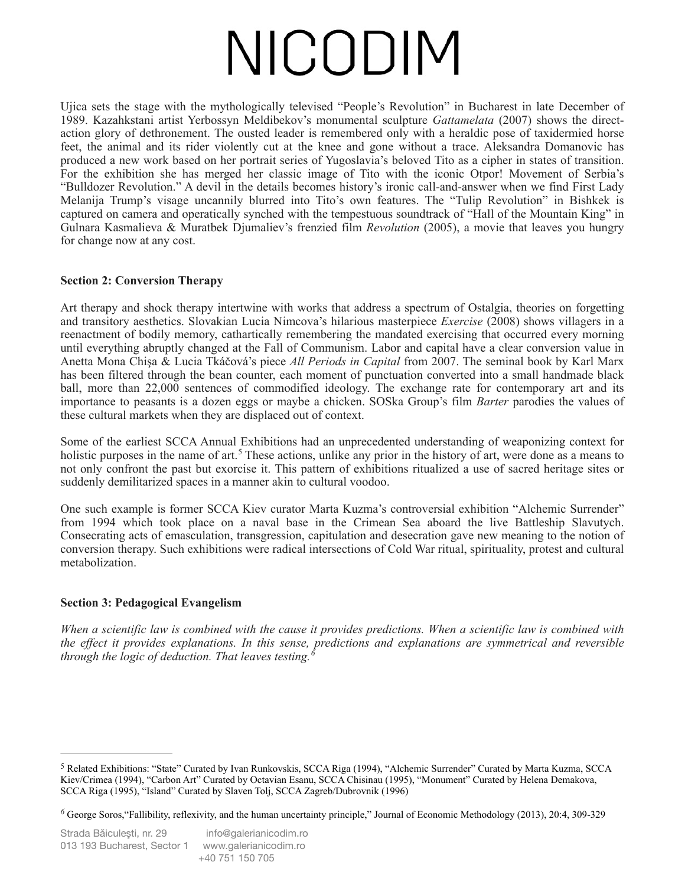Ujica sets the stage with the mythologically televised "People's Revolution" in Bucharest in late December of 1989. Kazahkstani artist Yerbossyn Meldibekov's monumental sculpture *Gattamelata* (2007) shows the directaction glory of dethronement. The ousted leader is remembered only with a heraldic pose of taxidermied horse feet, the animal and its rider violently cut at the knee and gone without a trace. Aleksandra Domanovic has produced a new work based on her portrait series of Yugoslavia's beloved Tito as a cipher in states of transition. For the exhibition she has merged her classic image of Tito with the iconic Otpor! Movement of Serbia's "Bulldozer Revolution." A devil in the details becomes history's ironic call-and-answer when we find First Lady Melanija Trump's visage uncannily blurred into Tito's own features. The "Tulip Revolution" in Bishkek is captured on camera and operatically synched with the tempestuous soundtrack of "Hall of the Mountain King" in Gulnara Kasmalieva & Muratbek Djumaliev's frenzied film *Revolution* (2005), a movie that leaves you hungry for change now at any cost.

#### **Section 2: Conversion Therapy**

Art therapy and shock therapy intertwine with works that address a spectrum of Ostalgia, theories on forgetting and transitory aesthetics. Slovakian Lucia Nimcova's hilarious masterpiece *Exercise* (2008) shows villagers in a reenactment of bodily memory, cathartically remembering the mandated exercising that occurred every morning until everything abruptly changed at the Fall of Communism. Labor and capital have a clear conversion value in Anetta Mona Chişa & Lucia Tkáčová's piece *All Periods in Capital* from 2007. The seminal book by Karl Marx has been filtered through the bean counter, each moment of punctuation converted into a small handmade black ball, more than 22,000 sentences of commodified ideology. The exchange rate for contemporary art and its importance to peasants is a dozen eggs or maybe a chicken. SOSka Group's film *Barter* parodies the values of these cultural markets when they are displaced out of context.

<span id="page-2-2"></span>Some of the earliest SCCA Annual Exhibitions had an unprecedented understanding of weaponizing context for holistic purposes in the name of art.<sup>[5](#page-2-0)</sup> These actions, unlike any prior in the history of art, were done as a means to not only confront the past but exorcise it. This pattern of exhibitions ritualized a use of sacred heritage sites or suddenly demilitarized spaces in a manner akin to cultural voodoo.

One such example is former SCCA Kiev curator Marta Kuzma's controversial exhibition "Alchemic Surrender" from 1994 which took place on a naval base in the Crimean Sea aboard the live Battleship Slavutych. Consecrating acts of emasculation, transgression, capitulation and desecration gave new meaning to the notion of conversion therapy. Such exhibitions were radical intersections of Cold War ritual, spirituality, protest and cultural metabolization.

#### **Section 3: Pedagogical Evangelism**

<span id="page-2-3"></span>*When a scientific law is combined with the cause it provides predictions. When a scientific law is combined with the effect it provides explanations. In this sense, predictions and explanations are symmetrical and reversible through the logic of deduction. That leaves testing.[6](#page-2-1)*

<span id="page-2-0"></span><sup>&</sup>lt;sup>5</sup>Related Exhibitions: "State" Curated by Ivan Runkovskis, SCCA Riga (1994), "Alchemic Surrender" Curated by Marta Kuzma, SCCA Kiev/Crimea (1994), "Carbon Art" Curated by Octavian Esanu, SCCA Chisinau (1995), "Monument" Curated by Helena Demakova, SCCA Riga (1995), "Island" Curated by Slaven Tolj, SCCA Zagreb/Dubrovnik (1996)

<span id="page-2-1"></span>George Soros,"Fallibility, reflexivity, and the human uncertainty principle," Journal of Economic Methodology (2013), 20:4, 309-329 *[6](#page-2-3)*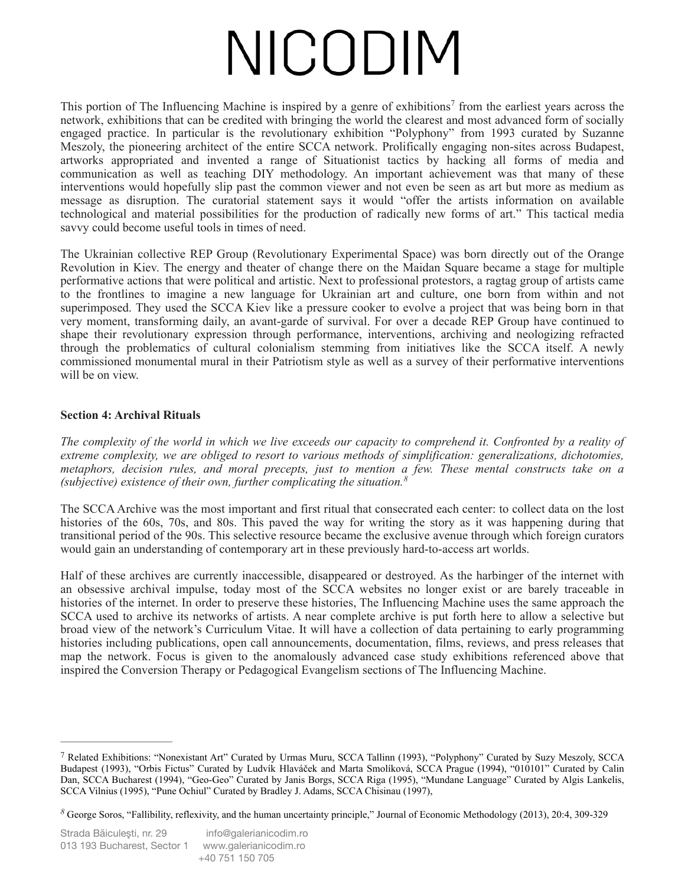<span id="page-3-2"></span>Thisportion of The Influencing Machine is inspired by a genre of exhibitions<sup>[7](#page-3-0)</sup> from the earliest years across the network, exhibitions that can be credited with bringing the world the clearest and most advanced form of socially engaged practice. In particular is the revolutionary exhibition "Polyphony" from 1993 curated by Suzanne Meszoly, the pioneering architect of the entire SCCA network. Prolifically engaging non-sites across Budapest, artworks appropriated and invented a range of Situationist tactics by hacking all forms of media and communication as well as teaching DIY methodology. An important achievement was that many of these interventions would hopefully slip past the common viewer and not even be seen as art but more as medium as message as disruption. The curatorial statement says it would "offer the artists information on available technological and material possibilities for the production of radically new forms of art." This tactical media savvy could become useful tools in times of need.

The Ukrainian collective REP Group (Revolutionary Experimental Space) was born directly out of the Orange Revolution in Kiev. The energy and theater of change there on the Maidan Square became a stage for multiple performative actions that were political and artistic. Next to professional protestors, a ragtag group of artists came to the frontlines to imagine a new language for Ukrainian art and culture, one born from within and not superimposed. They used the SCCA Kiev like a pressure cooker to evolve a project that was being born in that very moment, transforming daily, an avant-garde of survival. For over a decade REP Group have continued to shape their revolutionary expression through performance, interventions, archiving and neologizing refracted through the problematics of cultural colonialism stemming from initiatives like the SCCA itself. A newly commissioned monumental mural in their Patriotism style as well as a survey of their performative interventions will be on view.

#### **Section 4: Archival Rituals**

*The complexity of the world in which we live exceeds our capacity to comprehend it. Confronted by a reality of extreme complexity, we are obliged to resort to various methods of simplification: generalizations, dichotomies, metaphors, decision rules, and moral precepts, just to mention a few. These mental constructs take on a (subjective) existence of their own, further complicating the situation.[8](#page-3-1)*

<span id="page-3-3"></span>The SCCA Archive was the most important and first ritual that consecrated each center: to collect data on the lost histories of the 60s, 70s, and 80s. This paved the way for writing the story as it was happening during that transitional period of the 90s. This selective resource became the exclusive avenue through which foreign curators would gain an understanding of contemporary art in these previously hard-to-access art worlds.

Half of these archives are currently inaccessible, disappeared or destroyed. As the harbinger of the internet with an obsessive archival impulse, today most of the SCCA websites no longer exist or are barely traceable in histories of the internet. In order to preserve these histories, The Influencing Machine uses the same approach the SCCA used to archive its networks of artists. A near complete archive is put forth here to allow a selective but broad view of the network's Curriculum Vitae. It will have a collection of data pertaining to early programming histories including publications, open call announcements, documentation, films, reviews, and press releases that map the network. Focus is given to the anomalously advanced case study exhibitions referenced above that inspired the Conversion Therapy or Pedagogical Evangelism sections of The Influencing Machine.

<span id="page-3-0"></span><sup>&</sup>lt;sup>7</sup>Related Exhibitions: "Nonexistant Art" Curated by Urmas Muru, SCCA Tallinn (1993), "Polyphony" Curated by Suzy Meszoly, SCCA Budapest (1993), "Orbis Fictus" Curated by Ludvík Hlaváček and Marta Smolíková, SCCA Prague (1994), "010101" Curated by Calin Dan, SCCA Bucharest (1994), "Geo-Geo" Curated by Janis Borgs, SCCA Riga (1995), "Mundane Language" Curated by Algis Lankelis, SCCA Vilnius (1995), "Pune Ochiul" Curated by Bradley J. Adams, SCCA Chisinau (1997),

<span id="page-3-1"></span>George Soros, "Fallibility, reflexivity, and the human uncertainty principle," Journal of Economic Methodology (2013), 20:4, 309-329 *[8](#page-3-3)*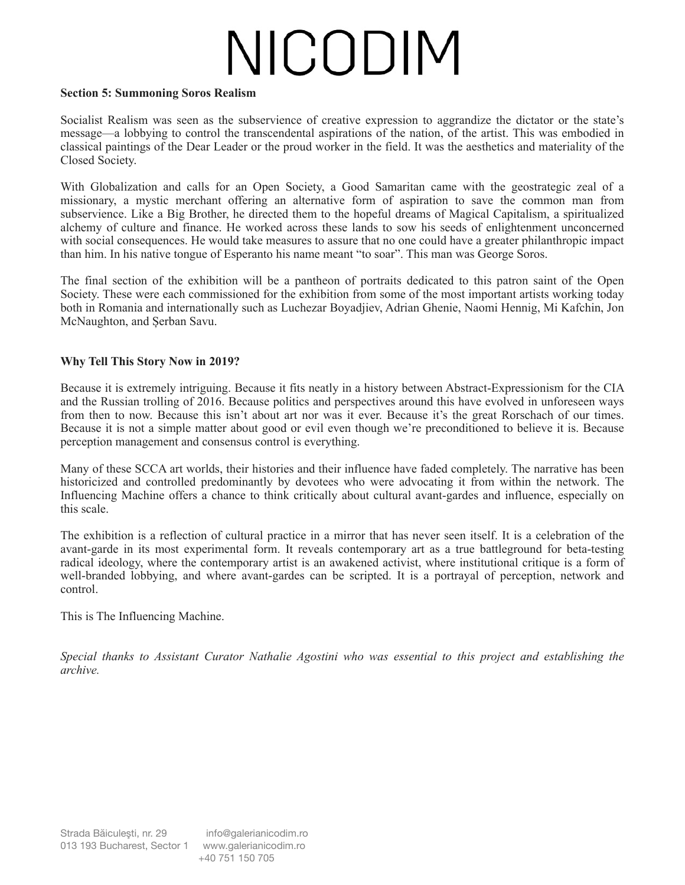#### **Section 5: Summoning Soros Realism**

Socialist Realism was seen as the subservience of creative expression to aggrandize the dictator or the state's message—a lobbying to control the transcendental aspirations of the nation, of the artist. This was embodied in classical paintings of the Dear Leader or the proud worker in the field. It was the aesthetics and materiality of the Closed Society.

With Globalization and calls for an Open Society, a Good Samaritan came with the geostrategic zeal of a missionary, a mystic merchant offering an alternative form of aspiration to save the common man from subservience. Like a Big Brother, he directed them to the hopeful dreams of Magical Capitalism, a spiritualized alchemy of culture and finance. He worked across these lands to sow his seeds of enlightenment unconcerned with social consequences. He would take measures to assure that no one could have a greater philanthropic impact than him. In his native tongue of Esperanto his name meant "to soar". This man was George Soros.

The final section of the exhibition will be a pantheon of portraits dedicated to this patron saint of the Open Society. These were each commissioned for the exhibition from some of the most important artists working today both in Romania and internationally such as Luchezar Boyadjiev, Adrian Ghenie, Naomi Hennig, Mi Kafchin, Jon McNaughton, and Șerban Savu.

#### **Why Tell This Story Now in 2019?**

Because it is extremely intriguing. Because it fits neatly in a history between Abstract-Expressionism for the CIA and the Russian trolling of 2016. Because politics and perspectives around this have evolved in unforeseen ways from then to now. Because this isn't about art nor was it ever. Because it's the great Rorschach of our times. Because it is not a simple matter about good or evil even though we're preconditioned to believe it is. Because perception management and consensus control is everything.

Many of these SCCA art worlds, their histories and their influence have faded completely. The narrative has been historicized and controlled predominantly by devotees who were advocating it from within the network. The Influencing Machine offers a chance to think critically about cultural avant-gardes and influence, especially on this scale.

The exhibition is a reflection of cultural practice in a mirror that has never seen itself. It is a celebration of the avant-garde in its most experimental form. It reveals contemporary art as a true battleground for beta-testing radical ideology, where the contemporary artist is an awakened activist, where institutional critique is a form of well-branded lobbying, and where avant-gardes can be scripted. It is a portrayal of perception, network and control.

This is The Influencing Machine.

*Special thanks to Assistant Curator Nathalie Agostini who was essential to this project and establishing the archive.*